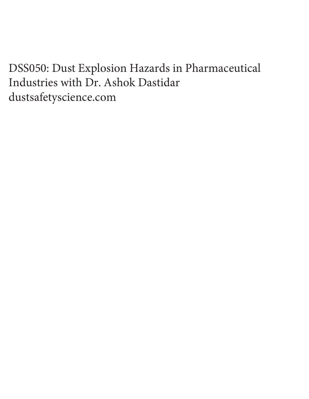DSS050: Dust Explosion Hazards in Pharmaceutical Industries with Dr. Ashok Dastidar dustsafetyscience.com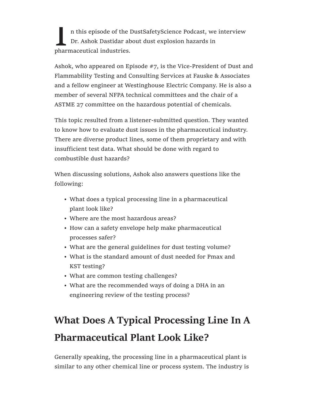n this episode of the DustSafetyScience Podcast, we interview Dr. Ashok Dastidar about dust explosion hazards in pharmaceutical industries.

Ashok, who appeared on Episode #7, is the Vice-President of Dust and Flammability Testing and Consulting Services at Fauske & Associates and a fellow engineer at Westinghouse Electric Company. He is also a member of several NFPA technical committees and the chair of a ASTME 27 committee on the hazardous potential of chemicals.

This topic resulted from a listener-submitted question. They wanted to know how to evaluate dust issues in the pharmaceutical industry. There are diverse product lines, some of them proprietary and with insufficient test data. What should be done with regard to combustible dust hazards?

When discussing solutions, Ashok also answers questions like the following:

- What does a typical processing line in a pharmaceutical plant look like?
- Where are the most hazardous areas?
- How can a safety envelope help make pharmaceutical processes safer?
- What are the general guidelines for dust testing volume?
- What is the standard amount of dust needed for Pmax and KST testing?
- What are common testing challenges?
- What are the recommended ways of doing a DHA in an engineering review of the testing process?

# What Does A Typical Processing Line In A Pharmaceutical Plant Look Like?

Generally speaking, the processing line in a pharmaceutical plant is similar to any other chemical line or process system. The industry is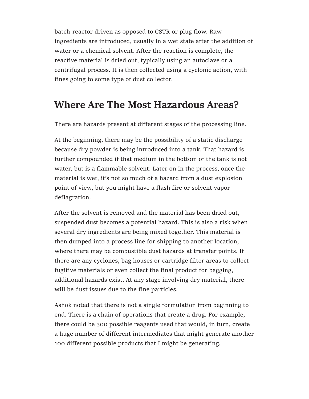batch-reactor driven as opposed to CSTR or plug flow. Raw ingredients are introduced, usually in a wet state after the addition of water or a chemical solvent. After the reaction is complete, the reactive material is dried out, typically using an autoclave or a centrifugal process. It is then collected using a cyclonic action, with fines going to some type of dust collector.

## Where Are The Most Hazardous Areas?

There are hazards present at different stages of the processing line.

At the beginning, there may be the possibility of a static discharge because dry powder is being introduced into a tank. That hazard is further compounded if that medium in the bottom of the tank is not water, but is a flammable solvent. Later on in the process, once the material is wet, it's not so much of a hazard from a dust explosion point of view, but you might have a flash fire or solvent vapor deflagration.

After the solvent is removed and the material has been dried out, suspended dust becomes a potential hazard. This is also a risk when several dry ingredients are being mixed together. This material is then dumped into a process line for shipping to another location, where there may be combustible dust hazards at transfer points. If there are any cyclones, bag houses or cartridge filter areas to collect fugitive materials or even collect the final product for bagging, additional hazards exist. At any stage involving dry material, there will be dust issues due to the fine particles.

Ashok noted that there is not a single formulation from beginning to end. There is a chain of operations that create a drug. For example, there could be 300 possible reagents used that would, in turn, create a huge number of different intermediates that might generate another 100 different possible products that I might be generating.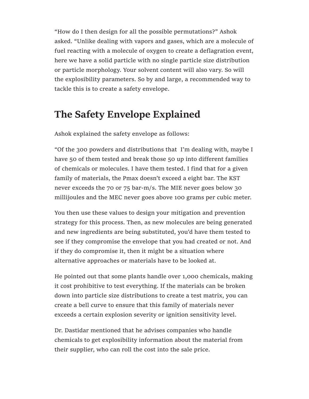"How do I then design for all the possible permutations?" Ashok asked. "Unlike dealing with vapors and gases, which are a molecule of fuel reacting with a molecule of oxygen to create a deflagration event, here we have a solid particle with no single particle size distribution or particle morphology. Your solvent content will also vary. So will the explosibility parameters. So by and large, a recommended way to tackle this is to create a safety envelope.

## The Safety Envelope Explained

Ashok explained the safety envelope as follows:

"Of the 300 powders and distributions that I'm dealing with, maybe I have 50 of them tested and break those 50 up into different families of chemicals or molecules. I have them tested. I find that for a given family of materials, the Pmax doesn't exceed a eight bar. The KST never exceeds the 70 or 75 bar-m/s. The MIE never goes below 30 millijoules and the MEC never goes above 100 grams per cubic meter.

You then use these values to design your mitigation and prevention strategy for this process. Then, as new molecules are being generated and new ingredients are being substituted, you'd have them tested to see if they compromise the envelope that you had created or not. And if they do compromise it, then it might be a situation where alternative approaches or materials have to be looked at.

He pointed out that some plants handle over 1,000 chemicals, making it cost prohibitive to test everything. If the materials can be broken down into particle size distributions to create a test matrix, you can create a bell curve to ensure that this family of materials never exceeds a certain explosion severity or ignition sensitivity level.

Dr. Dastidar mentioned that he advises companies who handle chemicals to get explosibility information about the material from their supplier, who can roll the cost into the sale price.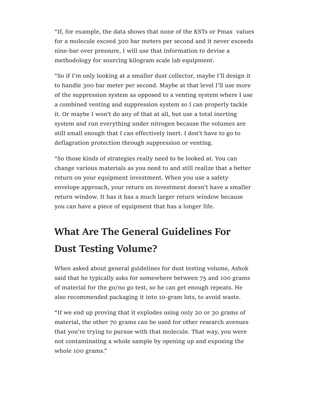"If, for example, the data shows that none of the KSTs or Pmax values for a molecule exceed 300 bar meters per second and it never exceeds nine-bar over pressure, I will use that information to devise a methodology for sourcing kilogram scale lab equipment.

"So if I'm only looking at a smaller dust collector, maybe I'll design it to handle 300 bar meter per second. Maybe at that level I'll use more of the suppression system as opposed to a venting system where I use a combined venting and suppression system so I can properly tackle it. Or maybe I won't do any of that at all, but use a total inerting system and run everything under nitrogen because the volumes are still small enough that I can effectively inert. I don't have to go to deflagration protection through suppression or venting.

"So those kinds of strategies really need to be looked at. You can change various materials as you need to and still realize that a better return on your equipment investment. When you use a safety envelope approach, your return on investment doesn't have a smaller return window. It has it has a much larger return window because you can have a piece of equipment that has a longer life.

# What Are The General Guidelines For Dust Testing Volume?

When asked about general guidelines for dust testing volume, Ashok said that he typically asks for somewhere between 75 and 100 grams of material for the go/no go test, so he can get enough repeats. He also recommended packaging it into 10-gram lots, to avoid waste.

"If we end up proving that it explodes using only 20 or 30 grams of material, the other 70 grams can be used for other research avenues that you're trying to pursue with that molecule. That way, you were not contaminating a whole sample by opening up and exposing the whole 100 grams."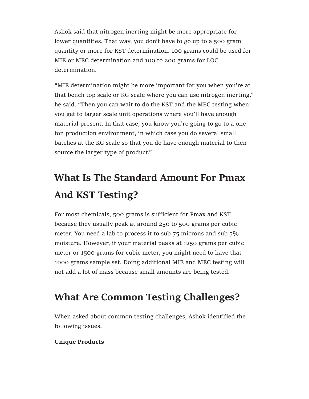Ashok said that nitrogen inerting might be more appropriate for lower quantities. That way, you don't have to go up to a 500 gram quantity or more for KST determination. 100 grams could be used for MIE or MEC determination and 100 to 200 grams for LOC determination.

"MIE determination might be more important for you when you're at that bench top scale or KG scale where you can use nitrogen inerting," he said. "Then you can wait to do the KST and the MEC testing when you get to larger scale unit operations where you'll have enough material present. In that case, you know you're going to go to a one ton production environment, in which case you do several small batches at the KG scale so that you do have enough material to then source the larger type of product."

# What Is The Standard Amount For Pmax And KST Testing?

For most chemicals, 500 grams is sufficient for Pmax and KST because they usually peak at around 250 to 500 grams per cubic meter. You need a lab to process it to sub 75 microns and sub 5% moisture. However, if your material peaks at 1250 grams per cubic meter or 1500 grams for cubic meter, you might need to have that 1000 grams sample set. Doing additional MIE and MEC testing will not add a lot of mass because small amounts are being tested.

# What Are Common Testing Challenges?

When asked about common testing challenges, Ashok identified the following issues.

### Unique Products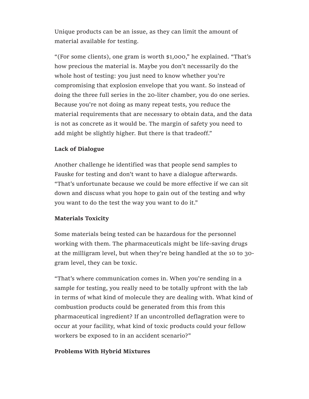Unique products can be an issue, as they can limit the amount of material available for testing.

"(For some clients), one gram is worth \$1,000," he explained. "That's how precious the material is. Maybe you don't necessarily do the whole host of testing: you just need to know whether you're compromising that explosion envelope that you want. So instead of doing the three full series in the 20-liter chamber, you do one series. Because you're not doing as many repeat tests, you reduce the material requirements that are necessary to obtain data, and the data is not as concrete as it would be. The margin of safety you need to add might be slightly higher. But there is that tradeoff."

#### Lack of Dialogue

Another challenge he identified was that people send samples to Fauske for testing and don't want to have a dialogue afterwards. "That's unfortunate because we could be more effective if we can sit down and discuss what you hope to gain out of the testing and why you want to do the test the way you want to do it."

#### Materials Toxicity

Some materials being tested can be hazardous for the personnel working with them. The pharmaceuticals might be life-saving drugs at the milligram level, but when they're being handled at the 10 to 30 gram level, they can be toxic.

"That's where communication comes in. When you're sending in a sample for testing, you really need to be totally upfront with the lab in terms of what kind of molecule they are dealing with. What kind of combustion products could be generated from this from this pharmaceutical ingredient? If an uncontrolled deflagration were to occur at your facility, what kind of toxic products could your fellow workers be exposed to in an accident scenario?"

#### Problems With Hybrid Mixtures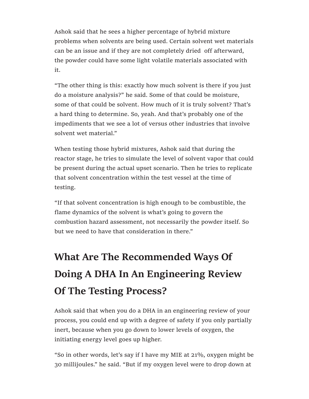Ashok said that he sees a higher percentage of hybrid mixture problems when solvents are being used. Certain solvent wet materials can be an issue and if they are not completely dried off afterward, the powder could have some light volatile materials associated with it.

"The other thing is this: exactly how much solvent is there if you just do a moisture analysis?" he said. Some of that could be moisture, some of that could be solvent. How much of it is truly solvent? That's a hard thing to determine. So, yeah. And that's probably one of the impediments that we see a lot of versus other industries that involve solvent wet material."

When testing those hybrid mixtures, Ashok said that during the reactor stage, he tries to simulate the level of solvent vapor that could be present during the actual upset scenario. Then he tries to replicate that solvent concentration within the test vessel at the time of testing.

"If that solvent concentration is high enough to be combustible, the flame dynamics of the solvent is what's going to govern the combustion hazard assessment, not necessarily the powder itself. So but we need to have that consideration in there."

# What Are The Recommended Ways Of Doing A DHA In An Engineering Review Of The Testing Process?

Ashok said that when you do a DHA in an engineering review of your process, you could end up with a degree of safety if you only partially inert, because when you go down to lower levels of oxygen, the initiating energy level goes up higher.

"So in other words, let's say if I have my MIE at 21%, oxygen might be 30 millijoules." he said. "But if my oxygen level were to drop down at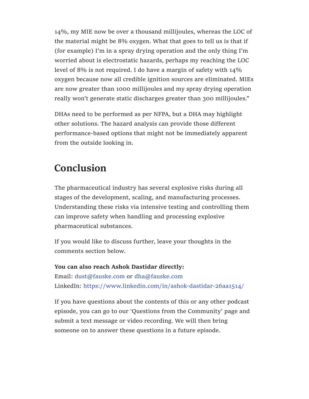14%, my MIE now be over a thousand millijoules, whereas the LOC of the material might be 8% oxygen. What that goes to tell us is that if (for example) I'm in a spray drying operation and the only thing I'm worried about is electrostatic hazards, perhaps my reaching the LOC level of 8% is not required. I do have a margin of safety with 14% oxygen because now all credible ignition sources are eliminated. MIEs are now greater than 1000 millijoules and my spray drying operation really won't generate static discharges greater than 300 millijoules."

DHAs need to be performed as per NFPA, but a DHA may highlight other solutions. The hazard analysis can provide those different performance-based options that might not be immediately apparent from the outside looking in.

## Conclusion

The pharmaceutical industry has several explosive risks during all stages of the development, scaling, and manufacturing processes. Understanding these risks via intensive testing and controlling them can improve safety when handling and processing explosive pharmaceutical substances.

If you would like to discuss further, leave your thoughts in the comments section below.

You can also reach Ashok Dastidar directly: Email: dust@fauske.com or dha@fauske.com LinkedIn: https://www.linkedin.com/in/ashok-dastidar-26aa1514/

If you have questions about the contents of this or any other podcast episode, you can go to our 'Questions from the Community' page and submit a text message or video recording. We will then bring someone on to answer these questions in a future episode.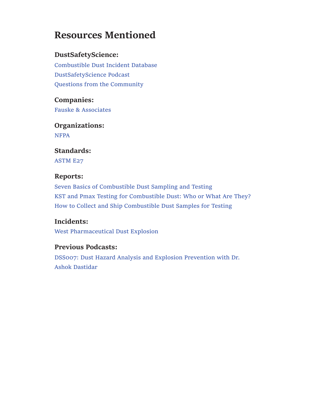## Resources Mentioned

### DustSafetyScience:

Combustible Dust Incident Database DustSafetyScience Podcast Questions from the Community

Companies: Fauske & Associates

Organizations: NFPA

Standards: ASTM E27

### Reports:

Seven Basics of Combustible Dust Sampling and Testing KST and Pmax Testing for Combustible Dust: Who or What Are They? How to Collect and Ship Combustible Dust Samples for Testing

### Incidents:

West Pharmaceutical Dust Explosion

### Previous Podcasts:

DSS007: Dust Hazard Analysis and Explosion Prevention with Dr. Ashok Dastidar